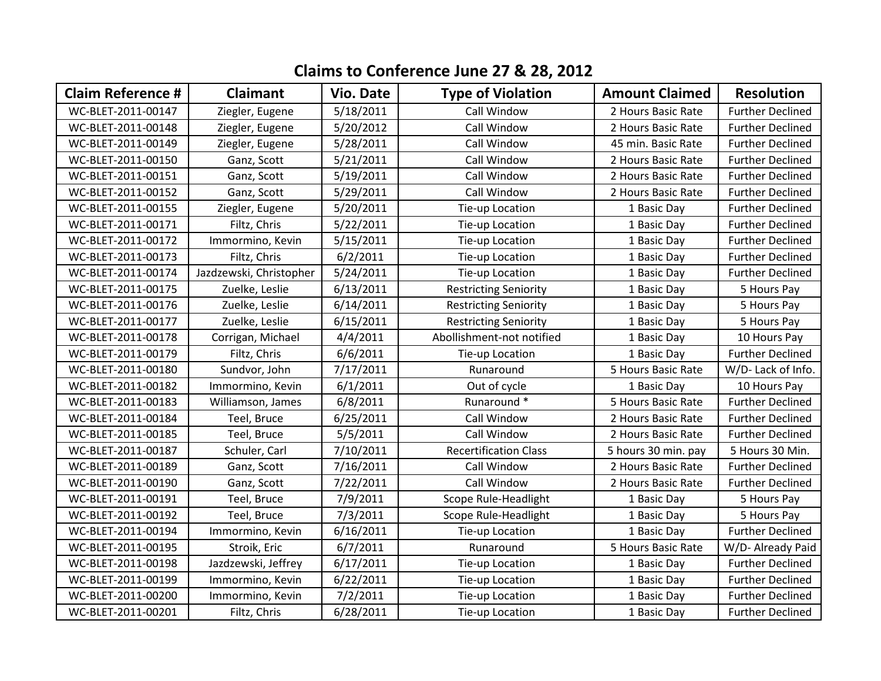## **Claims to Conference June 27 & 28, 2012**

| <b>Claim Reference #</b> | <b>Claimant</b>         | <b>Vio. Date</b> | <b>Type of Violation</b>     | <b>Amount Claimed</b> | <b>Resolution</b>       |
|--------------------------|-------------------------|------------------|------------------------------|-----------------------|-------------------------|
| WC-BLET-2011-00147       | Ziegler, Eugene         | 5/18/2011        | Call Window                  | 2 Hours Basic Rate    | <b>Further Declined</b> |
| WC-BLET-2011-00148       | Ziegler, Eugene         | 5/20/2012        | Call Window                  | 2 Hours Basic Rate    | <b>Further Declined</b> |
| WC-BLET-2011-00149       | Ziegler, Eugene         | 5/28/2011        | Call Window                  | 45 min. Basic Rate    | <b>Further Declined</b> |
| WC-BLET-2011-00150       | Ganz, Scott             | 5/21/2011        | Call Window                  | 2 Hours Basic Rate    | <b>Further Declined</b> |
| WC-BLET-2011-00151       | Ganz, Scott             | 5/19/2011        | Call Window                  | 2 Hours Basic Rate    | <b>Further Declined</b> |
| WC-BLET-2011-00152       | Ganz, Scott             | 5/29/2011        | Call Window                  | 2 Hours Basic Rate    | <b>Further Declined</b> |
| WC-BLET-2011-00155       | Ziegler, Eugene         | 5/20/2011        | Tie-up Location              | 1 Basic Day           | <b>Further Declined</b> |
| WC-BLET-2011-00171       | Filtz, Chris            | 5/22/2011        | Tie-up Location              | 1 Basic Day           | <b>Further Declined</b> |
| WC-BLET-2011-00172       | Immormino, Kevin        | 5/15/2011        | Tie-up Location              | 1 Basic Day           | <b>Further Declined</b> |
| WC-BLET-2011-00173       | Filtz, Chris            | 6/2/2011         | Tie-up Location              | 1 Basic Day           | <b>Further Declined</b> |
| WC-BLET-2011-00174       | Jazdzewski, Christopher | 5/24/2011        | Tie-up Location              | 1 Basic Day           | <b>Further Declined</b> |
| WC-BLET-2011-00175       | Zuelke, Leslie          | 6/13/2011        | <b>Restricting Seniority</b> | 1 Basic Day           | 5 Hours Pay             |
| WC-BLET-2011-00176       | Zuelke, Leslie          | 6/14/2011        | <b>Restricting Seniority</b> | 1 Basic Day           | 5 Hours Pay             |
| WC-BLET-2011-00177       | Zuelke, Leslie          | 6/15/2011        | <b>Restricting Seniority</b> | 1 Basic Day           | 5 Hours Pay             |
| WC-BLET-2011-00178       | Corrigan, Michael       | 4/4/2011         | Abollishment-not notified    | 1 Basic Day           | 10 Hours Pay            |
| WC-BLET-2011-00179       | Filtz, Chris            | 6/6/2011         | Tie-up Location              | 1 Basic Day           | <b>Further Declined</b> |
| WC-BLET-2011-00180       | Sundvor, John           | 7/17/2011        | Runaround                    | 5 Hours Basic Rate    | W/D- Lack of Info.      |
| WC-BLET-2011-00182       | Immormino, Kevin        | 6/1/2011         | Out of cycle                 | 1 Basic Day           | 10 Hours Pay            |
| WC-BLET-2011-00183       | Williamson, James       | 6/8/2011         | Runaround *                  | 5 Hours Basic Rate    | <b>Further Declined</b> |
| WC-BLET-2011-00184       | Teel, Bruce             | 6/25/2011        | Call Window                  | 2 Hours Basic Rate    | <b>Further Declined</b> |
| WC-BLET-2011-00185       | Teel, Bruce             | 5/5/2011         | Call Window                  | 2 Hours Basic Rate    | <b>Further Declined</b> |
| WC-BLET-2011-00187       | Schuler, Carl           | 7/10/2011        | <b>Recertification Class</b> | 5 hours 30 min. pay   | 5 Hours 30 Min.         |
| WC-BLET-2011-00189       | Ganz, Scott             | 7/16/2011        | Call Window                  | 2 Hours Basic Rate    | <b>Further Declined</b> |
| WC-BLET-2011-00190       | Ganz, Scott             | 7/22/2011        | Call Window                  | 2 Hours Basic Rate    | <b>Further Declined</b> |
| WC-BLET-2011-00191       | Teel, Bruce             | 7/9/2011         | Scope Rule-Headlight         | 1 Basic Day           | 5 Hours Pay             |
| WC-BLET-2011-00192       | Teel, Bruce             | 7/3/2011         | Scope Rule-Headlight         | 1 Basic Day           | 5 Hours Pay             |
| WC-BLET-2011-00194       | Immormino, Kevin        | 6/16/2011        | Tie-up Location              | 1 Basic Day           | <b>Further Declined</b> |
| WC-BLET-2011-00195       | Stroik, Eric            | 6/7/2011         | Runaround                    | 5 Hours Basic Rate    | W/D- Already Paid       |
| WC-BLET-2011-00198       | Jazdzewski, Jeffrey     | 6/17/2011        | Tie-up Location              | 1 Basic Day           | <b>Further Declined</b> |
| WC-BLET-2011-00199       | Immormino, Kevin        | 6/22/2011        | Tie-up Location              | 1 Basic Day           | <b>Further Declined</b> |
| WC-BLET-2011-00200       | Immormino, Kevin        | 7/2/2011         | Tie-up Location              | 1 Basic Day           | <b>Further Declined</b> |
| WC-BLET-2011-00201       | Filtz, Chris            | 6/28/2011        | Tie-up Location              | 1 Basic Day           | <b>Further Declined</b> |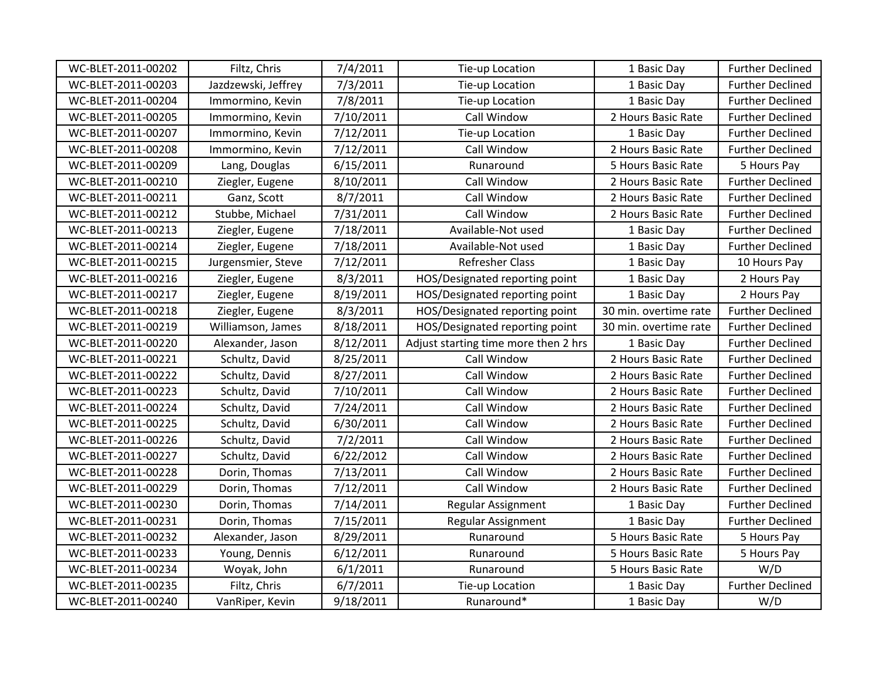| WC-BLET-2011-00202 | Filtz, Chris        | 7/4/2011  | Tie-up Location                      | 1 Basic Day           | <b>Further Declined</b> |
|--------------------|---------------------|-----------|--------------------------------------|-----------------------|-------------------------|
| WC-BLET-2011-00203 | Jazdzewski, Jeffrey | 7/3/2011  | Tie-up Location                      |                       | <b>Further Declined</b> |
| WC-BLET-2011-00204 | Immormino, Kevin    | 7/8/2011  | Tie-up Location                      | 1 Basic Day           | <b>Further Declined</b> |
| WC-BLET-2011-00205 | Immormino, Kevin    | 7/10/2011 | Call Window                          | 2 Hours Basic Rate    | <b>Further Declined</b> |
| WC-BLET-2011-00207 | Immormino, Kevin    | 7/12/2011 | Tie-up Location                      | 1 Basic Day           | <b>Further Declined</b> |
| WC-BLET-2011-00208 | Immormino, Kevin    | 7/12/2011 | Call Window                          | 2 Hours Basic Rate    | <b>Further Declined</b> |
| WC-BLET-2011-00209 | Lang, Douglas       | 6/15/2011 | Runaround                            | 5 Hours Basic Rate    | 5 Hours Pay             |
| WC-BLET-2011-00210 | Ziegler, Eugene     | 8/10/2011 | Call Window                          | 2 Hours Basic Rate    | <b>Further Declined</b> |
| WC-BLET-2011-00211 | Ganz, Scott         | 8/7/2011  | Call Window                          | 2 Hours Basic Rate    | <b>Further Declined</b> |
| WC-BLET-2011-00212 | Stubbe, Michael     | 7/31/2011 | Call Window                          | 2 Hours Basic Rate    | <b>Further Declined</b> |
| WC-BLET-2011-00213 | Ziegler, Eugene     | 7/18/2011 | Available-Not used                   | 1 Basic Day           | <b>Further Declined</b> |
| WC-BLET-2011-00214 | Ziegler, Eugene     | 7/18/2011 | Available-Not used                   | 1 Basic Day           | <b>Further Declined</b> |
| WC-BLET-2011-00215 | Jurgensmier, Steve  | 7/12/2011 | <b>Refresher Class</b>               | 1 Basic Day           | 10 Hours Pay            |
| WC-BLET-2011-00216 | Ziegler, Eugene     | 8/3/2011  | HOS/Designated reporting point       | 1 Basic Day           | 2 Hours Pay             |
| WC-BLET-2011-00217 | Ziegler, Eugene     | 8/19/2011 | HOS/Designated reporting point       | 1 Basic Day           | 2 Hours Pay             |
| WC-BLET-2011-00218 | Ziegler, Eugene     | 8/3/2011  | HOS/Designated reporting point       | 30 min. overtime rate | <b>Further Declined</b> |
| WC-BLET-2011-00219 | Williamson, James   | 8/18/2011 | HOS/Designated reporting point       | 30 min. overtime rate | <b>Further Declined</b> |
| WC-BLET-2011-00220 | Alexander, Jason    | 8/12/2011 | Adjust starting time more then 2 hrs | 1 Basic Day           | <b>Further Declined</b> |
| WC-BLET-2011-00221 | Schultz, David      | 8/25/2011 | Call Window                          | 2 Hours Basic Rate    | <b>Further Declined</b> |
| WC-BLET-2011-00222 | Schultz, David      | 8/27/2011 | Call Window                          | 2 Hours Basic Rate    | <b>Further Declined</b> |
| WC-BLET-2011-00223 | Schultz, David      | 7/10/2011 | Call Window                          | 2 Hours Basic Rate    | <b>Further Declined</b> |
| WC-BLET-2011-00224 | Schultz, David      | 7/24/2011 | Call Window                          | 2 Hours Basic Rate    | <b>Further Declined</b> |
| WC-BLET-2011-00225 | Schultz, David      | 6/30/2011 | Call Window                          | 2 Hours Basic Rate    | <b>Further Declined</b> |
| WC-BLET-2011-00226 | Schultz, David      | 7/2/2011  | Call Window                          | 2 Hours Basic Rate    | <b>Further Declined</b> |
| WC-BLET-2011-00227 | Schultz, David      | 6/22/2012 | Call Window                          | 2 Hours Basic Rate    | <b>Further Declined</b> |
| WC-BLET-2011-00228 | Dorin, Thomas       | 7/13/2011 | Call Window                          | 2 Hours Basic Rate    | <b>Further Declined</b> |
| WC-BLET-2011-00229 | Dorin, Thomas       | 7/12/2011 | Call Window                          | 2 Hours Basic Rate    | <b>Further Declined</b> |
| WC-BLET-2011-00230 | Dorin, Thomas       | 7/14/2011 | Regular Assignment                   | 1 Basic Day           | <b>Further Declined</b> |
| WC-BLET-2011-00231 | Dorin, Thomas       | 7/15/2011 | Regular Assignment                   | 1 Basic Day           | <b>Further Declined</b> |
| WC-BLET-2011-00232 | Alexander, Jason    | 8/29/2011 | Runaround                            | 5 Hours Basic Rate    | 5 Hours Pay             |
| WC-BLET-2011-00233 | Young, Dennis       | 6/12/2011 | Runaround                            | 5 Hours Basic Rate    | 5 Hours Pay             |
| WC-BLET-2011-00234 | Woyak, John         | 6/1/2011  | Runaround                            | 5 Hours Basic Rate    | W/D                     |
| WC-BLET-2011-00235 | Filtz, Chris        | 6/7/2011  | Tie-up Location                      | 1 Basic Day           | <b>Further Declined</b> |
| WC-BLET-2011-00240 |                     |           | Runaround*                           | 1 Basic Day           | W/D                     |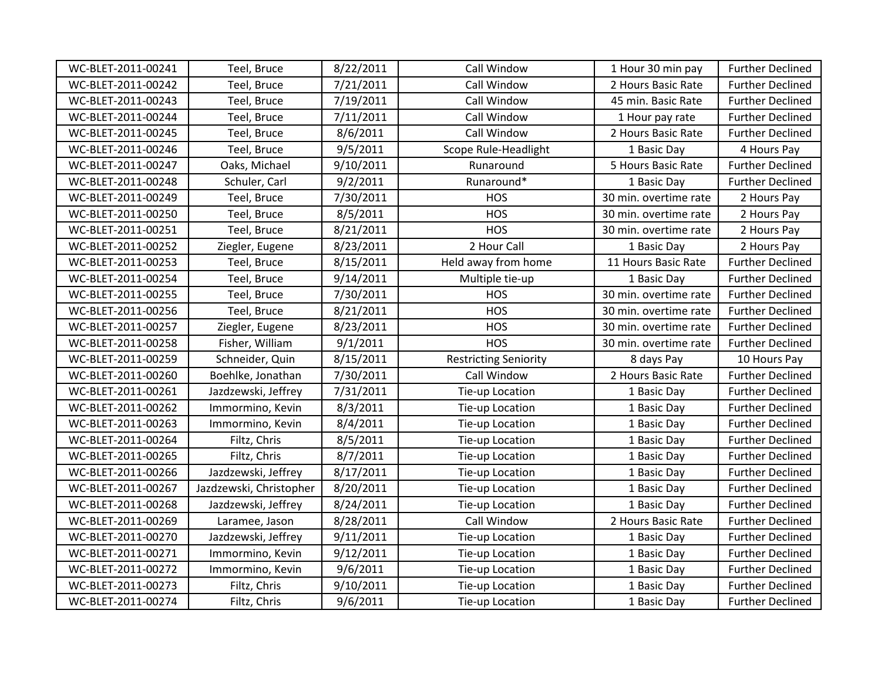| WC-BLET-2011-00241 | Teel, Bruce             | 8/22/2011 | Call Window                  | 1 Hour 30 min pay     | <b>Further Declined</b> |
|--------------------|-------------------------|-----------|------------------------------|-----------------------|-------------------------|
| WC-BLET-2011-00242 | Teel, Bruce             | 7/21/2011 | Call Window                  | 2 Hours Basic Rate    | <b>Further Declined</b> |
| WC-BLET-2011-00243 | Teel, Bruce             | 7/19/2011 | Call Window                  | 45 min. Basic Rate    | <b>Further Declined</b> |
| WC-BLET-2011-00244 | Teel, Bruce             | 7/11/2011 | Call Window                  | 1 Hour pay rate       | <b>Further Declined</b> |
| WC-BLET-2011-00245 | Teel, Bruce             | 8/6/2011  | Call Window                  | 2 Hours Basic Rate    | <b>Further Declined</b> |
| WC-BLET-2011-00246 | Teel, Bruce             | 9/5/2011  | Scope Rule-Headlight         | 1 Basic Day           | 4 Hours Pay             |
| WC-BLET-2011-00247 | Oaks, Michael           | 9/10/2011 | Runaround                    | 5 Hours Basic Rate    | <b>Further Declined</b> |
| WC-BLET-2011-00248 | Schuler, Carl           | 9/2/2011  | Runaround*                   | 1 Basic Day           | <b>Further Declined</b> |
| WC-BLET-2011-00249 | Teel, Bruce             | 7/30/2011 | <b>HOS</b>                   | 30 min. overtime rate | 2 Hours Pay             |
| WC-BLET-2011-00250 | Teel, Bruce             | 8/5/2011  | <b>HOS</b>                   | 30 min. overtime rate | 2 Hours Pay             |
| WC-BLET-2011-00251 | Teel, Bruce             | 8/21/2011 | <b>HOS</b>                   | 30 min. overtime rate | 2 Hours Pay             |
| WC-BLET-2011-00252 | Ziegler, Eugene         | 8/23/2011 | 2 Hour Call                  | 1 Basic Day           | 2 Hours Pay             |
| WC-BLET-2011-00253 | Teel, Bruce             | 8/15/2011 | Held away from home          | 11 Hours Basic Rate   | <b>Further Declined</b> |
| WC-BLET-2011-00254 | Teel, Bruce             | 9/14/2011 | Multiple tie-up              | 1 Basic Day           | <b>Further Declined</b> |
| WC-BLET-2011-00255 | Teel, Bruce             | 7/30/2011 | <b>HOS</b>                   | 30 min. overtime rate | <b>Further Declined</b> |
| WC-BLET-2011-00256 | Teel, Bruce             | 8/21/2011 | <b>HOS</b>                   | 30 min. overtime rate | <b>Further Declined</b> |
| WC-BLET-2011-00257 | Ziegler, Eugene         | 8/23/2011 | <b>HOS</b>                   | 30 min. overtime rate | <b>Further Declined</b> |
| WC-BLET-2011-00258 | Fisher, William         | 9/1/2011  | <b>HOS</b>                   | 30 min. overtime rate | <b>Further Declined</b> |
| WC-BLET-2011-00259 | Schneider, Quin         | 8/15/2011 | <b>Restricting Seniority</b> | 8 days Pay            | 10 Hours Pay            |
| WC-BLET-2011-00260 | Boehlke, Jonathan       | 7/30/2011 | Call Window                  | 2 Hours Basic Rate    | <b>Further Declined</b> |
| WC-BLET-2011-00261 | Jazdzewski, Jeffrey     | 7/31/2011 | Tie-up Location              | 1 Basic Day           | <b>Further Declined</b> |
| WC-BLET-2011-00262 | Immormino, Kevin        | 8/3/2011  | Tie-up Location              | 1 Basic Day           | <b>Further Declined</b> |
| WC-BLET-2011-00263 | Immormino, Kevin        | 8/4/2011  | Tie-up Location              | 1 Basic Day           | <b>Further Declined</b> |
| WC-BLET-2011-00264 | Filtz, Chris            | 8/5/2011  | Tie-up Location              | 1 Basic Day           | <b>Further Declined</b> |
| WC-BLET-2011-00265 | Filtz, Chris            | 8/7/2011  | Tie-up Location              | 1 Basic Day           | <b>Further Declined</b> |
| WC-BLET-2011-00266 | Jazdzewski, Jeffrey     | 8/17/2011 | Tie-up Location              | 1 Basic Day           | <b>Further Declined</b> |
| WC-BLET-2011-00267 | Jazdzewski, Christopher | 8/20/2011 | Tie-up Location              | 1 Basic Day           | <b>Further Declined</b> |
| WC-BLET-2011-00268 | Jazdzewski, Jeffrey     | 8/24/2011 | Tie-up Location              | 1 Basic Day           | <b>Further Declined</b> |
| WC-BLET-2011-00269 | Laramee, Jason          | 8/28/2011 | Call Window                  | 2 Hours Basic Rate    | <b>Further Declined</b> |
| WC-BLET-2011-00270 | Jazdzewski, Jeffrey     | 9/11/2011 | Tie-up Location              | 1 Basic Day           | <b>Further Declined</b> |
| WC-BLET-2011-00271 | Immormino, Kevin        | 9/12/2011 | Tie-up Location              | 1 Basic Day           | <b>Further Declined</b> |
| WC-BLET-2011-00272 | Immormino, Kevin        | 9/6/2011  | Tie-up Location              | 1 Basic Day           | <b>Further Declined</b> |
| WC-BLET-2011-00273 | Filtz, Chris            | 9/10/2011 | Tie-up Location              | 1 Basic Day           | <b>Further Declined</b> |
| WC-BLET-2011-00274 | Filtz, Chris            | 9/6/2011  | Tie-up Location              | 1 Basic Day           | <b>Further Declined</b> |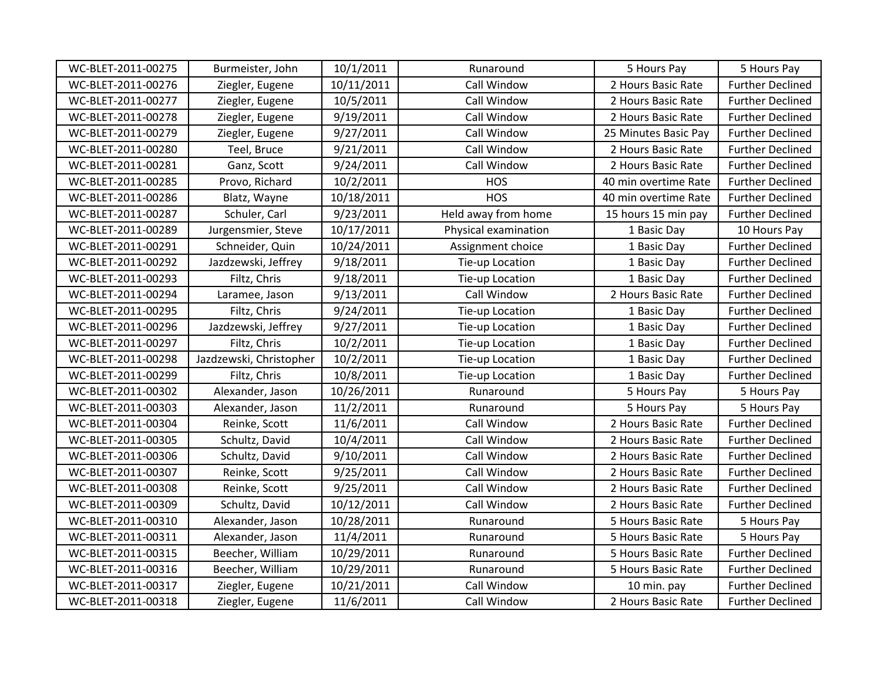| WC-BLET-2011-00275 | Burmeister, John        | 10/1/2011  | Runaround            | 5 Hours Pay          | 5 Hours Pay             |
|--------------------|-------------------------|------------|----------------------|----------------------|-------------------------|
| WC-BLET-2011-00276 | Ziegler, Eugene         | 10/11/2011 | Call Window          | 2 Hours Basic Rate   | <b>Further Declined</b> |
| WC-BLET-2011-00277 | Ziegler, Eugene         | 10/5/2011  | Call Window          | 2 Hours Basic Rate   | <b>Further Declined</b> |
| WC-BLET-2011-00278 | Ziegler, Eugene         | 9/19/2011  | Call Window          | 2 Hours Basic Rate   | <b>Further Declined</b> |
| WC-BLET-2011-00279 | Ziegler, Eugene         | 9/27/2011  | Call Window          | 25 Minutes Basic Pay | <b>Further Declined</b> |
| WC-BLET-2011-00280 | Teel, Bruce             | 9/21/2011  | Call Window          | 2 Hours Basic Rate   | <b>Further Declined</b> |
| WC-BLET-2011-00281 | Ganz, Scott             | 9/24/2011  | Call Window          | 2 Hours Basic Rate   | <b>Further Declined</b> |
| WC-BLET-2011-00285 | Provo, Richard          | 10/2/2011  | HOS                  | 40 min overtime Rate | <b>Further Declined</b> |
| WC-BLET-2011-00286 | Blatz, Wayne            | 10/18/2011 | <b>HOS</b>           | 40 min overtime Rate | <b>Further Declined</b> |
| WC-BLET-2011-00287 | Schuler, Carl           | 9/23/2011  | Held away from home  | 15 hours 15 min pay  | <b>Further Declined</b> |
| WC-BLET-2011-00289 | Jurgensmier, Steve      | 10/17/2011 | Physical examination | 1 Basic Day          | 10 Hours Pay            |
| WC-BLET-2011-00291 | Schneider, Quin         | 10/24/2011 | Assignment choice    | 1 Basic Day          | <b>Further Declined</b> |
| WC-BLET-2011-00292 | Jazdzewski, Jeffrey     | 9/18/2011  | Tie-up Location      | 1 Basic Day          | <b>Further Declined</b> |
| WC-BLET-2011-00293 | Filtz, Chris            | 9/18/2011  | Tie-up Location      | 1 Basic Day          | <b>Further Declined</b> |
| WC-BLET-2011-00294 | Laramee, Jason          | 9/13/2011  | Call Window          | 2 Hours Basic Rate   | <b>Further Declined</b> |
| WC-BLET-2011-00295 | Filtz, Chris            | 9/24/2011  | Tie-up Location      | 1 Basic Day          | <b>Further Declined</b> |
| WC-BLET-2011-00296 | Jazdzewski, Jeffrey     | 9/27/2011  | Tie-up Location      | 1 Basic Day          | <b>Further Declined</b> |
| WC-BLET-2011-00297 | Filtz, Chris            | 10/2/2011  | Tie-up Location      | 1 Basic Day          | <b>Further Declined</b> |
| WC-BLET-2011-00298 | Jazdzewski, Christopher | 10/2/2011  | Tie-up Location      | 1 Basic Day          | <b>Further Declined</b> |
| WC-BLET-2011-00299 | Filtz, Chris            | 10/8/2011  | Tie-up Location      | 1 Basic Day          | <b>Further Declined</b> |
| WC-BLET-2011-00302 | Alexander, Jason        | 10/26/2011 | Runaround            | 5 Hours Pay          | 5 Hours Pay             |
| WC-BLET-2011-00303 | Alexander, Jason        | 11/2/2011  | Runaround            | 5 Hours Pay          | 5 Hours Pay             |
| WC-BLET-2011-00304 | Reinke, Scott           | 11/6/2011  | Call Window          | 2 Hours Basic Rate   | <b>Further Declined</b> |
| WC-BLET-2011-00305 | Schultz, David          | 10/4/2011  | Call Window          | 2 Hours Basic Rate   | <b>Further Declined</b> |
| WC-BLET-2011-00306 | Schultz, David          | 9/10/2011  | Call Window          | 2 Hours Basic Rate   | <b>Further Declined</b> |
| WC-BLET-2011-00307 | Reinke, Scott           | 9/25/2011  | Call Window          | 2 Hours Basic Rate   | <b>Further Declined</b> |
| WC-BLET-2011-00308 | Reinke, Scott           | 9/25/2011  | Call Window          | 2 Hours Basic Rate   | <b>Further Declined</b> |
| WC-BLET-2011-00309 | Schultz, David          | 10/12/2011 | Call Window          | 2 Hours Basic Rate   | <b>Further Declined</b> |
| WC-BLET-2011-00310 | Alexander, Jason        | 10/28/2011 | Runaround            | 5 Hours Basic Rate   | 5 Hours Pay             |
| WC-BLET-2011-00311 | Alexander, Jason        | 11/4/2011  | Runaround            | 5 Hours Basic Rate   | 5 Hours Pay             |
| WC-BLET-2011-00315 | Beecher, William        | 10/29/2011 | Runaround            | 5 Hours Basic Rate   | <b>Further Declined</b> |
| WC-BLET-2011-00316 | Beecher, William        | 10/29/2011 | Runaround            | 5 Hours Basic Rate   | <b>Further Declined</b> |
| WC-BLET-2011-00317 | Ziegler, Eugene         | 10/21/2011 | Call Window          | 10 min. pay          | <b>Further Declined</b> |
| WC-BLET-2011-00318 | Ziegler, Eugene         | 11/6/2011  | Call Window          | 2 Hours Basic Rate   | <b>Further Declined</b> |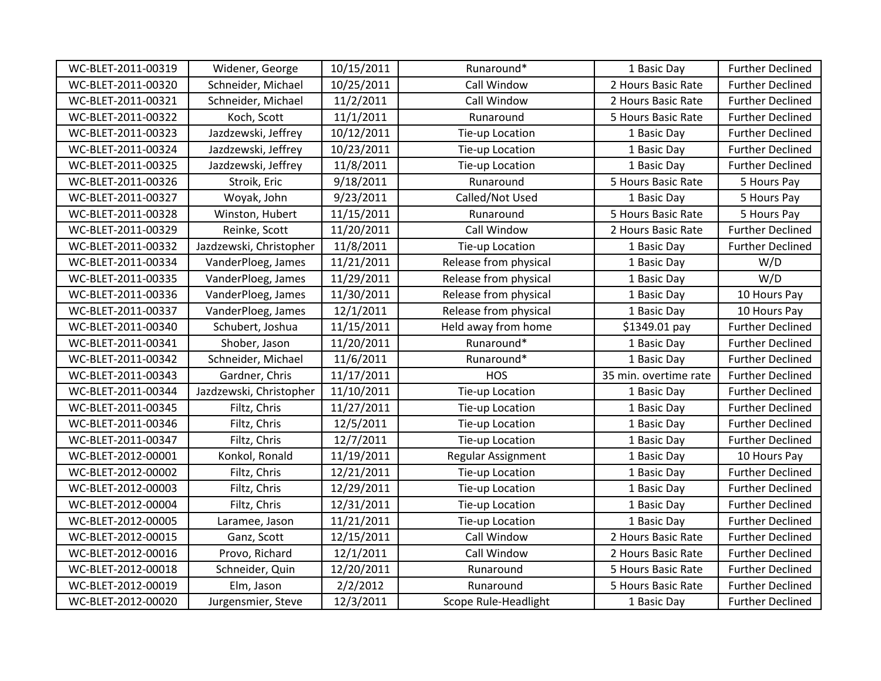| WC-BLET-2011-00319 | Widener, George         | 10/15/2011 | Runaround*            | 1 Basic Day           | <b>Further Declined</b> |
|--------------------|-------------------------|------------|-----------------------|-----------------------|-------------------------|
| WC-BLET-2011-00320 | Schneider, Michael      | 10/25/2011 | Call Window           | 2 Hours Basic Rate    | <b>Further Declined</b> |
| WC-BLET-2011-00321 | Schneider, Michael      | 11/2/2011  | Call Window           | 2 Hours Basic Rate    | <b>Further Declined</b> |
| WC-BLET-2011-00322 | Koch, Scott             | 11/1/2011  | Runaround             | 5 Hours Basic Rate    | <b>Further Declined</b> |
| WC-BLET-2011-00323 | Jazdzewski, Jeffrey     | 10/12/2011 | Tie-up Location       | 1 Basic Day           | <b>Further Declined</b> |
| WC-BLET-2011-00324 | Jazdzewski, Jeffrey     | 10/23/2011 | Tie-up Location       | 1 Basic Day           | <b>Further Declined</b> |
| WC-BLET-2011-00325 | Jazdzewski, Jeffrey     | 11/8/2011  | Tie-up Location       | 1 Basic Day           | <b>Further Declined</b> |
| WC-BLET-2011-00326 | Stroik, Eric            | 9/18/2011  | Runaround             | 5 Hours Basic Rate    | 5 Hours Pay             |
| WC-BLET-2011-00327 | Woyak, John             | 9/23/2011  | Called/Not Used       | 1 Basic Day           | 5 Hours Pay             |
| WC-BLET-2011-00328 | Winston, Hubert         | 11/15/2011 | Runaround             | 5 Hours Basic Rate    | 5 Hours Pay             |
| WC-BLET-2011-00329 | Reinke, Scott           | 11/20/2011 | Call Window           | 2 Hours Basic Rate    | <b>Further Declined</b> |
| WC-BLET-2011-00332 | Jazdzewski, Christopher | 11/8/2011  | Tie-up Location       | 1 Basic Day           | <b>Further Declined</b> |
| WC-BLET-2011-00334 | VanderPloeg, James      | 11/21/2011 | Release from physical | 1 Basic Day           | W/D                     |
| WC-BLET-2011-00335 | VanderPloeg, James      | 11/29/2011 | Release from physical | 1 Basic Day           | W/D                     |
| WC-BLET-2011-00336 | VanderPloeg, James      | 11/30/2011 | Release from physical | 1 Basic Day           | 10 Hours Pay            |
| WC-BLET-2011-00337 | VanderPloeg, James      | 12/1/2011  | Release from physical | 1 Basic Day           | 10 Hours Pay            |
| WC-BLET-2011-00340 | Schubert, Joshua        | 11/15/2011 | Held away from home   | \$1349.01 pay         | <b>Further Declined</b> |
| WC-BLET-2011-00341 | Shober, Jason           | 11/20/2011 | Runaround*            | 1 Basic Day           | <b>Further Declined</b> |
| WC-BLET-2011-00342 | Schneider, Michael      | 11/6/2011  | Runaround*            | 1 Basic Day           | <b>Further Declined</b> |
| WC-BLET-2011-00343 | Gardner, Chris          | 11/17/2011 | <b>HOS</b>            | 35 min. overtime rate | <b>Further Declined</b> |
| WC-BLET-2011-00344 | Jazdzewski, Christopher | 11/10/2011 | Tie-up Location       | 1 Basic Day           | <b>Further Declined</b> |
| WC-BLET-2011-00345 | Filtz, Chris            | 11/27/2011 | Tie-up Location       | 1 Basic Day           | <b>Further Declined</b> |
| WC-BLET-2011-00346 | Filtz, Chris            | 12/5/2011  | Tie-up Location       | 1 Basic Day           | <b>Further Declined</b> |
| WC-BLET-2011-00347 | Filtz, Chris            | 12/7/2011  | Tie-up Location       | 1 Basic Day           | <b>Further Declined</b> |
| WC-BLET-2012-00001 | Konkol, Ronald          | 11/19/2011 | Regular Assignment    | 1 Basic Day           | 10 Hours Pay            |
| WC-BLET-2012-00002 | Filtz, Chris            | 12/21/2011 | Tie-up Location       | 1 Basic Day           | <b>Further Declined</b> |
| WC-BLET-2012-00003 | Filtz, Chris            | 12/29/2011 | Tie-up Location       | 1 Basic Day           | <b>Further Declined</b> |
| WC-BLET-2012-00004 | Filtz, Chris            | 12/31/2011 | Tie-up Location       | 1 Basic Day           | <b>Further Declined</b> |
| WC-BLET-2012-00005 | Laramee, Jason          | 11/21/2011 | Tie-up Location       | 1 Basic Day           | <b>Further Declined</b> |
| WC-BLET-2012-00015 | Ganz, Scott             | 12/15/2011 | Call Window           | 2 Hours Basic Rate    | <b>Further Declined</b> |
| WC-BLET-2012-00016 | Provo, Richard          | 12/1/2011  | Call Window           | 2 Hours Basic Rate    | <b>Further Declined</b> |
| WC-BLET-2012-00018 | Schneider, Quin         | 12/20/2011 | Runaround             | 5 Hours Basic Rate    | <b>Further Declined</b> |
| WC-BLET-2012-00019 | Elm, Jason              | 2/2/2012   | Runaround             | 5 Hours Basic Rate    | <b>Further Declined</b> |
| WC-BLET-2012-00020 | Jurgensmier, Steve      | 12/3/2011  | Scope Rule-Headlight  | 1 Basic Day           | <b>Further Declined</b> |